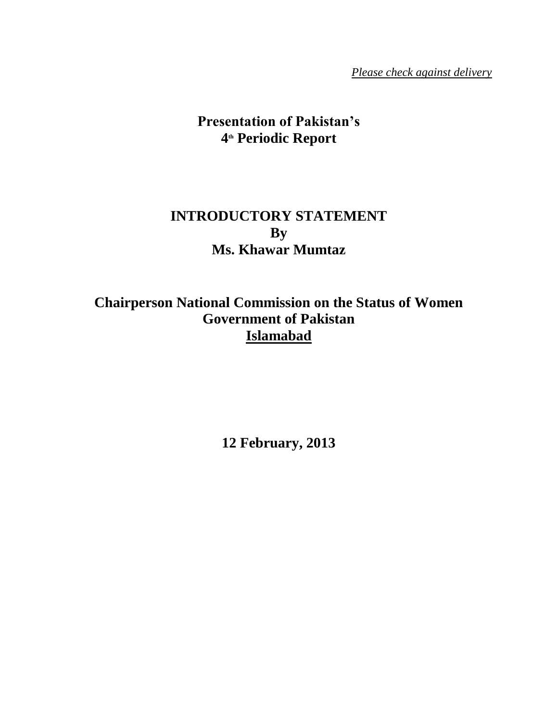*Please check against delivery*

# **Presentation of Pakistan's 4 th Periodic Report**

# **INTRODUCTORY STATEMENT By Ms. Khawar Mumtaz**

**Chairperson National Commission on the Status of Women Government of Pakistan Islamabad**

**12 February, 2013**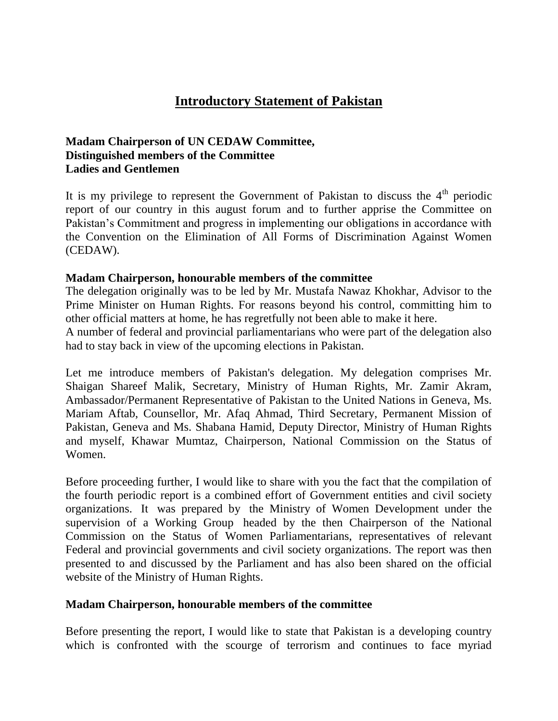# **Introductory Statement of Pakistan**

## **Madam Chairperson of UN CEDAW Committee, Distinguished members of the Committee Ladies and Gentlemen**

It is my privilege to represent the Government of Pakistan to discuss the  $4<sup>th</sup>$  periodic report of our country in this august forum and to further apprise the Committee on Pakistan's Commitment and progress in implementing our obligations in accordance with the Convention on the Elimination of All Forms of Discrimination Against Women (CEDAW).

### **Madam Chairperson, honourable members of the committee**

The delegation originally was to be led by Mr. Mustafa Nawaz Khokhar, Advisor to the Prime Minister on Human Rights. For reasons beyond his control, committing him to other official matters at home, he has regretfully not been able to make it here.

A number of federal and provincial parliamentarians who were part of the delegation also had to stay back in view of the upcoming elections in Pakistan.

Let me introduce members of Pakistan's delegation. My delegation comprises Mr. Shaigan Shareef Malik, Secretary, Ministry of Human Rights, Mr. Zamir Akram, Ambassador/Permanent Representative of Pakistan to the United Nations in Geneva, Ms. Mariam Aftab, Counsellor, Mr. Afaq Ahmad, Third Secretary, Permanent Mission of Pakistan, Geneva and Ms. Shabana Hamid, Deputy Director, Ministry of Human Rights and myself, Khawar Mumtaz, Chairperson, National Commission on the Status of Women.

Before proceeding further, I would like to share with you the fact that the compilation of the fourth periodic report is a combined effort of Government entities and civil society organizations. It was prepared by the Ministry of Women Development under the supervision of a Working Group headed by the then Chairperson of the National Commission on the Status of Women Parliamentarians, representatives of relevant Federal and provincial governments and civil society organizations. The report was then presented to and discussed by the Parliament and has also been shared on the official website of the Ministry of Human Rights.

### **Madam Chairperson, honourable members of the committee**

Before presenting the report, I would like to state that Pakistan is a developing country which is confronted with the scourge of terrorism and continues to face myriad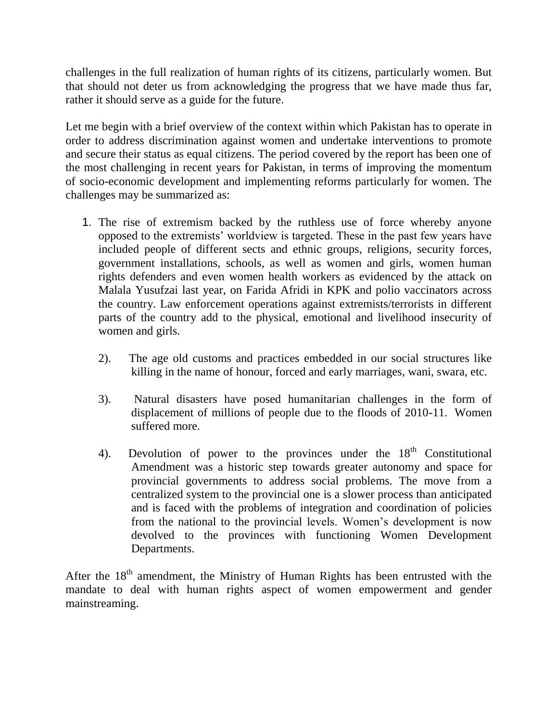challenges in the full realization of human rights of its citizens, particularly women. But that should not deter us from acknowledging the progress that we have made thus far, rather it should serve as a guide for the future.

Let me begin with a brief overview of the context within which Pakistan has to operate in order to address discrimination against women and undertake interventions to promote and secure their status as equal citizens. The period covered by the report has been one of the most challenging in recent years for Pakistan, in terms of improving the momentum of socio-economic development and implementing reforms particularly for women. The challenges may be summarized as:

- 1. The rise of extremism backed by the ruthless use of force whereby anyone opposed to the extremists" worldview is targeted. These in the past few years have included people of different sects and ethnic groups, religions, security forces, government installations, schools, as well as women and girls, women human rights defenders and even women health workers as evidenced by the attack on Malala Yusufzai last year, on Farida Afridi in KPK and polio vaccinators across the country. Law enforcement operations against extremists/terrorists in different parts of the country add to the physical, emotional and livelihood insecurity of women and girls.
	- 2). The age old customs and practices embedded in our social structures like killing in the name of honour, forced and early marriages, wani, swara, etc.
	- 3). Natural disasters have posed humanitarian challenges in the form of displacement of millions of people due to the floods of 2010-11. Women suffered more.
	- 4). Devolution of power to the provinces under the  $18<sup>th</sup>$  Constitutional Amendment was a historic step towards greater autonomy and space for provincial governments to address social problems. The move from a centralized system to the provincial one is a slower process than anticipated and is faced with the problems of integration and coordination of policies from the national to the provincial levels. Women"s development is now devolved to the provinces with functioning Women Development Departments.

After the  $18<sup>th</sup>$  amendment, the Ministry of Human Rights has been entrusted with the mandate to deal with human rights aspect of women empowerment and gender mainstreaming.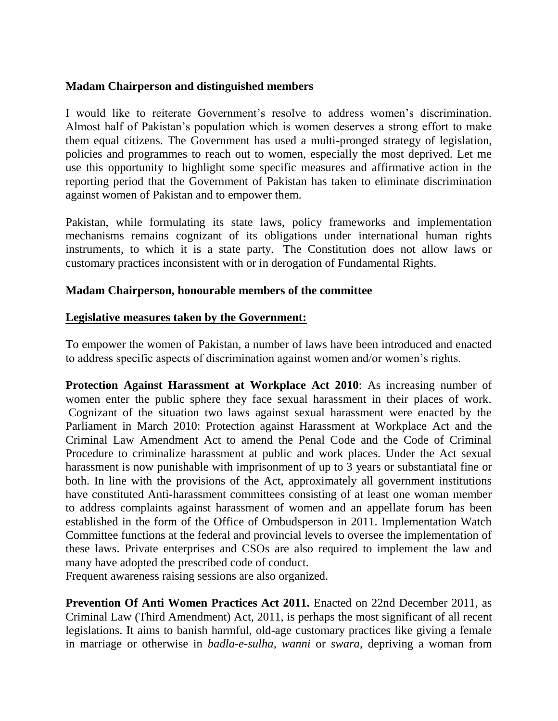## **Madam Chairperson and distinguished members**

I would like to reiterate Government"s resolve to address women"s discrimination. Almost half of Pakistan"s population which is women deserves a strong effort to make them equal citizens. The Government has used a multi-pronged strategy of legislation, policies and programmes to reach out to women, especially the most deprived. Let me use this opportunity to highlight some specific measures and affirmative action in the reporting period that the Government of Pakistan has taken to eliminate discrimination against women of Pakistan and to empower them.

Pakistan, while formulating its state laws, policy frameworks and implementation mechanisms remains cognizant of its obligations under international human rights instruments, to which it is a state party. The Constitution does not allow laws or customary practices inconsistent with or in derogation of Fundamental Rights.

### **Madam Chairperson, honourable members of the committee**

### **Legislative measures taken by the Government:**

To empower the women of Pakistan, a number of laws have been introduced and enacted to address specific aspects of discrimination against women and/or women"s rights.

**Protection Against Harassment at Workplace Act 2010**: As increasing number of women enter the public sphere they face sexual harassment in their places of work. Cognizant of the situation two laws against sexual harassment were enacted by the Parliament in March 2010: Protection against Harassment at Workplace Act and the Criminal Law Amendment Act to amend the Penal Code and the Code of Criminal Procedure to criminalize harassment at public and work places. Under the Act sexual harassment is now punishable with imprisonment of up to 3 years or substantiatal fine or both. In line with the provisions of the Act, approximately all government institutions have constituted Anti-harassment committees consisting of at least one woman member to address complaints against harassment of women and an appellate forum has been established in the form of the Office of Ombudsperson in 2011. Implementation Watch Committee functions at the federal and provincial levels to oversee the implementation of these laws. Private enterprises and CSOs are also required to implement the law and many have adopted the prescribed code of conduct.

Frequent awareness raising sessions are also organized.

**Prevention Of Anti Women Practices Act 2011.** Enacted on 22nd December 2011, as Criminal Law (Third Amendment) Act, 2011, is perhaps the most significant of all recent legislations. It aims to banish harmful, old-age customary practices like giving a female in marriage or otherwise in *badla-e-sulha*, *wanni* or *swara*, depriving a woman from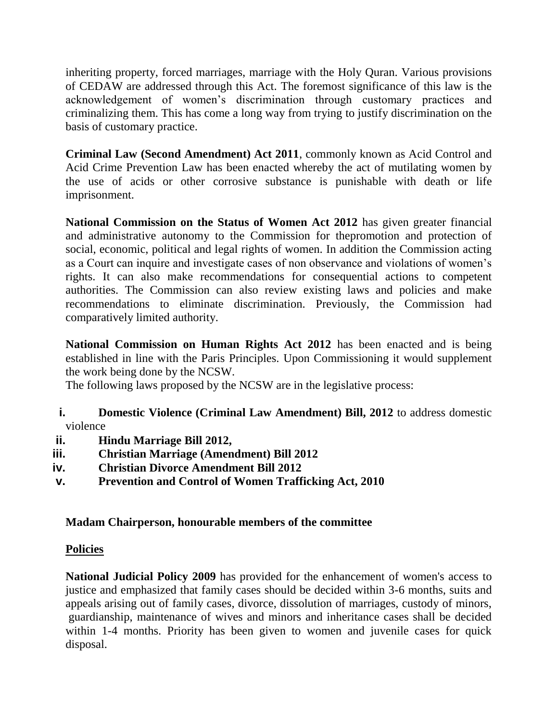inheriting property, forced marriages, marriage with the Holy Quran. Various provisions of CEDAW are addressed through this Act. The foremost significance of this law is the acknowledgement of women"s discrimination through customary practices and criminalizing them. This has come a long way from trying to justify discrimination on the basis of customary practice.

**Criminal Law (Second Amendment) Act 2011**, commonly known as Acid Control and Acid Crime Prevention Law has been enacted whereby the act of mutilating women by the use of acids or other corrosive substance is punishable with death or life imprisonment.

**National Commission on the Status of Women Act 2012** has given greater financial and administrative autonomy to the Commission for thepromotion and protection of social, economic, political and legal rights of women. In addition the Commission acting as a Court can inquire and investigate cases of non observance and violations of women"s rights. It can also make recommendations for consequential actions to competent authorities. The Commission can also review existing laws and policies and make recommendations to eliminate discrimination. Previously, the Commission had comparatively limited authority.

**National Commission on Human Rights Act 2012** has been enacted and is being established in line with the Paris Principles. Upon Commissioning it would supplement the work being done by the NCSW.

The following laws proposed by the NCSW are in the legislative process:

- **i. Domestic Violence (Criminal Law Amendment) Bill, 2012** to address domestic violence
- **ii. Hindu Marriage Bill 2012,**
- **iii. Christian Marriage (Amendment) Bill 2012**
- **iv. Christian Divorce Amendment Bill 2012**
- **v. Prevention and Control of Women Trafficking Act, 2010**

# **Madam Chairperson, honourable members of the committee**

# **Policies**

**National Judicial Policy 2009** has provided for the enhancement of women's access to justice and emphasized that family cases should be decided within 3-6 months, suits and appeals arising out of family cases, divorce, dissolution of marriages, custody of minors, guardianship, maintenance of wives and minors and inheritance cases shall be decided within 1-4 months. Priority has been given to women and juvenile cases for quick disposal.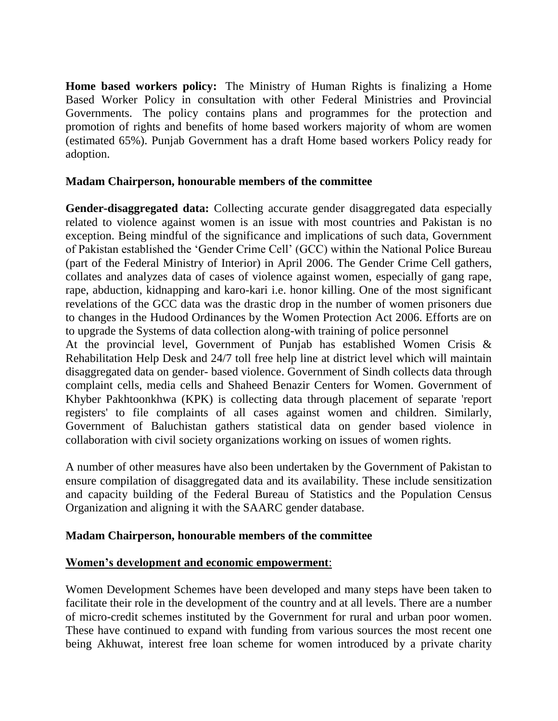**Home based workers policy:** The Ministry of Human Rights is finalizing a Home Based Worker Policy in consultation with other Federal Ministries and Provincial Governments. The policy contains plans and programmes for the protection and promotion of rights and benefits of home based workers majority of whom are women (estimated 65%). Punjab Government has a draft Home based workers Policy ready for adoption.

## **Madam Chairperson, honourable members of the committee**

**Gender-disaggregated data:** Collecting accurate gender disaggregated data especially related to violence against women is an issue with most countries and Pakistan is no exception. Being mindful of the significance and implications of such data, Government of Pakistan established the "Gender Crime Cell" (GCC) within the National Police Bureau (part of the Federal Ministry of Interior) in April 2006. The Gender Crime Cell gathers, collates and analyzes data of cases of violence against women, especially of gang rape, rape, abduction, kidnapping and karo-kari i.e. honor killing. One of the most significant revelations of the GCC data was the drastic drop in the number of women prisoners due to changes in the Hudood Ordinances by the Women Protection Act 2006. Efforts are on to upgrade the Systems of data collection along-with training of police personnel

At the provincial level, Government of Punjab has established Women Crisis & Rehabilitation Help Desk and 24/7 toll free help line at district level which will maintain disaggregated data on gender- based violence. Government of Sindh collects data through complaint cells, media cells and Shaheed Benazir Centers for Women. Government of Khyber Pakhtoonkhwa (KPK) is collecting data through placement of separate 'report registers' to file complaints of all cases against women and children. Similarly, Government of Baluchistan gathers statistical data on gender based violence in collaboration with civil society organizations working on issues of women rights.

A number of other measures have also been undertaken by the Government of Pakistan to ensure compilation of disaggregated data and its availability. These include sensitization and capacity building of the Federal Bureau of Statistics and the Population Census Organization and aligning it with the SAARC gender database.

# **Madam Chairperson, honourable members of the committee**

### **Women's development and economic empowerment**:

Women Development Schemes have been developed and many steps have been taken to facilitate their role in the development of the country and at all levels. There are a number of micro-credit schemes instituted by the Government for rural and urban poor women. These have continued to expand with funding from various sources the most recent one being Akhuwat, interest free loan scheme for women introduced by a private charity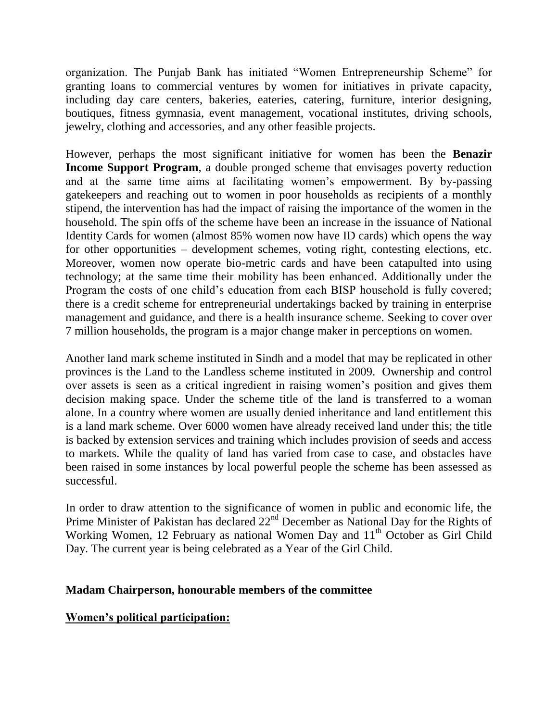organization. The Punjab Bank has initiated "Women Entrepreneurship Scheme" for granting loans to commercial ventures by women for initiatives in private capacity, including day care centers, bakeries, eateries, catering, furniture, interior designing, boutiques, fitness gymnasia, event management, vocational institutes, driving schools, jewelry, clothing and accessories, and any other feasible projects.

However, perhaps the most significant initiative for women has been the **Benazir Income Support Program**, a double pronged scheme that envisages poverty reduction and at the same time aims at facilitating women"s empowerment. By by-passing gatekeepers and reaching out to women in poor households as recipients of a monthly stipend, the intervention has had the impact of raising the importance of the women in the household. The spin offs of the scheme have been an increase in the issuance of National Identity Cards for women (almost 85% women now have ID cards) which opens the way for other opportunities – development schemes, voting right, contesting elections, etc. Moreover, women now operate bio-metric cards and have been catapulted into using technology; at the same time their mobility has been enhanced. Additionally under the Program the costs of one child"s education from each BISP household is fully covered; there is a credit scheme for entrepreneurial undertakings backed by training in enterprise management and guidance, and there is a health insurance scheme. Seeking to cover over 7 million households, the program is a major change maker in perceptions on women.

Another land mark scheme instituted in Sindh and a model that may be replicated in other provinces is the Land to the Landless scheme instituted in 2009. Ownership and control over assets is seen as a critical ingredient in raising women"s position and gives them decision making space. Under the scheme title of the land is transferred to a woman alone. In a country where women are usually denied inheritance and land entitlement this is a land mark scheme. Over 6000 women have already received land under this; the title is backed by extension services and training which includes provision of seeds and access to markets. While the quality of land has varied from case to case, and obstacles have been raised in some instances by local powerful people the scheme has been assessed as successful.

In order to draw attention to the significance of women in public and economic life, the Prime Minister of Pakistan has declared 22<sup>nd</sup> December as National Day for the Rights of Working Women, 12 February as national Women Day and 11<sup>th</sup> October as Girl Child Day. The current year is being celebrated as a Year of the Girl Child.

### **Madam Chairperson, honourable members of the committee**

# **Women's political participation:**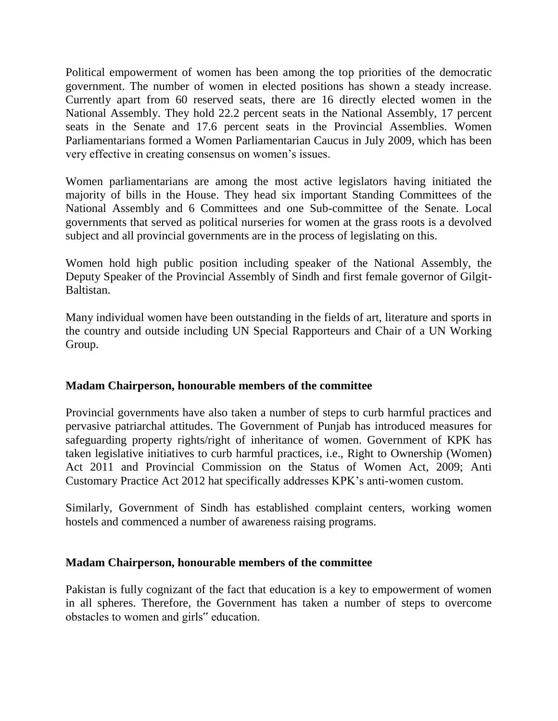Political empowerment of women has been among the top priorities of the democratic government. The number of women in elected positions has shown a steady increase. Currently apart from 60 reserved seats, there are 16 directly elected women in the National Assembly. They hold 22.2 percent seats in the National Assembly, 17 percent seats in the Senate and 17.6 percent seats in the Provincial Assemblies. Women Parliamentarians formed a Women Parliamentarian Caucus in July 2009, which has been very effective in creating consensus on women"s issues.

Women parliamentarians are among the most active legislators having initiated the majority of bills in the House. They head six important Standing Committees of the National Assembly and 6 Committees and one Sub-committee of the Senate. Local governments that served as political nurseries for women at the grass roots is a devolved subject and all provincial governments are in the process of legislating on this.

Women hold high public position including speaker of the National Assembly, the Deputy Speaker of the Provincial Assembly of Sindh and first female governor of Gilgit-Baltistan.

Many individual women have been outstanding in the fields of art, literature and sports in the country and outside including UN Special Rapporteurs and Chair of a UN Working Group.

# **Madam Chairperson, honourable members of the committee**

Provincial governments have also taken a number of steps to curb harmful practices and pervasive patriarchal attitudes. The Government of Punjab has introduced measures for safeguarding property rights/right of inheritance of women. Government of KPK has taken legislative initiatives to curb harmful practices, i.e., Right to Ownership (Women) Act 2011 and Provincial Commission on the Status of Women Act, 2009; Anti Customary Practice Act 2012 hat specifically addresses KPK"s anti-women custom.

Similarly, Government of Sindh has established complaint centers, working women hostels and commenced a number of awareness raising programs.

### **Madam Chairperson, honourable members of the committee**

Pakistan is fully cognizant of the fact that education is a key to empowerment of women in all spheres. Therefore, the Government has taken a number of steps to overcome obstacles to women and girls" education.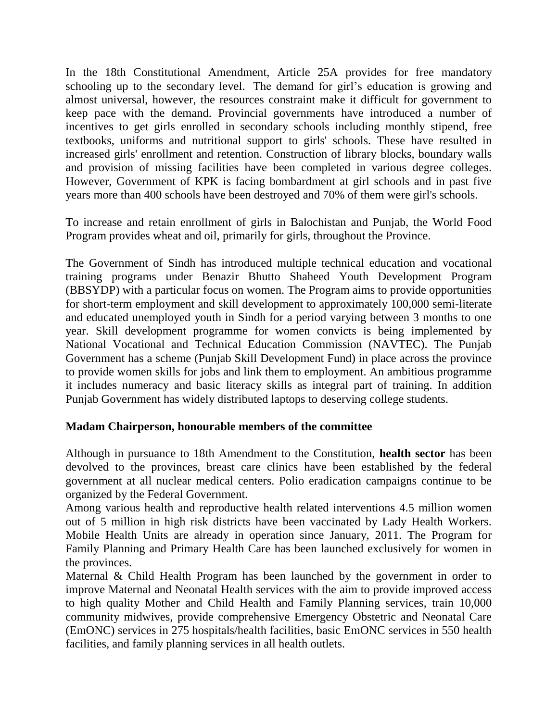In the 18th Constitutional Amendment, Article 25A provides for free mandatory schooling up to the secondary level. The demand for girl's education is growing and almost universal, however, the resources constraint make it difficult for government to keep pace with the demand. Provincial governments have introduced a number of incentives to get girls enrolled in secondary schools including monthly stipend, free textbooks, uniforms and nutritional support to girls' schools. These have resulted in increased girls' enrollment and retention. Construction of library blocks, boundary walls and provision of missing facilities have been completed in various degree colleges. However, Government of KPK is facing bombardment at girl schools and in past five years more than 400 schools have been destroyed and 70% of them were girl's schools.

To increase and retain enrollment of girls in Balochistan and Punjab, the World Food Program provides wheat and oil, primarily for girls, throughout the Province.

The Government of Sindh has introduced multiple technical education and vocational training programs under Benazir Bhutto Shaheed Youth Development Program (BBSYDP) with a particular focus on women. The Program aims to provide opportunities for short-term employment and skill development to approximately 100,000 semi-literate and educated unemployed youth in Sindh for a period varying between 3 months to one year. Skill development programme for women convicts is being implemented by National Vocational and Technical Education Commission (NAVTEC). The Punjab Government has a scheme (Punjab Skill Development Fund) in place across the province to provide women skills for jobs and link them to employment. An ambitious programme it includes numeracy and basic literacy skills as integral part of training. In addition Punjab Government has widely distributed laptops to deserving college students.

### **Madam Chairperson, honourable members of the committee**

Although in pursuance to 18th Amendment to the Constitution, **health sector** has been devolved to the provinces, breast care clinics have been established by the federal government at all nuclear medical centers. Polio eradication campaigns continue to be organized by the Federal Government.

Among various health and reproductive health related interventions 4.5 million women out of 5 million in high risk districts have been vaccinated by Lady Health Workers. Mobile Health Units are already in operation since January, 2011. The Program for Family Planning and Primary Health Care has been launched exclusively for women in the provinces.

Maternal & Child Health Program has been launched by the government in order to improve Maternal and Neonatal Health services with the aim to provide improved access to high quality Mother and Child Health and Family Planning services, train 10,000 community midwives, provide comprehensive Emergency Obstetric and Neonatal Care (EmONC) services in 275 hospitals/health facilities, basic EmONC services in 550 health facilities, and family planning services in all health outlets.